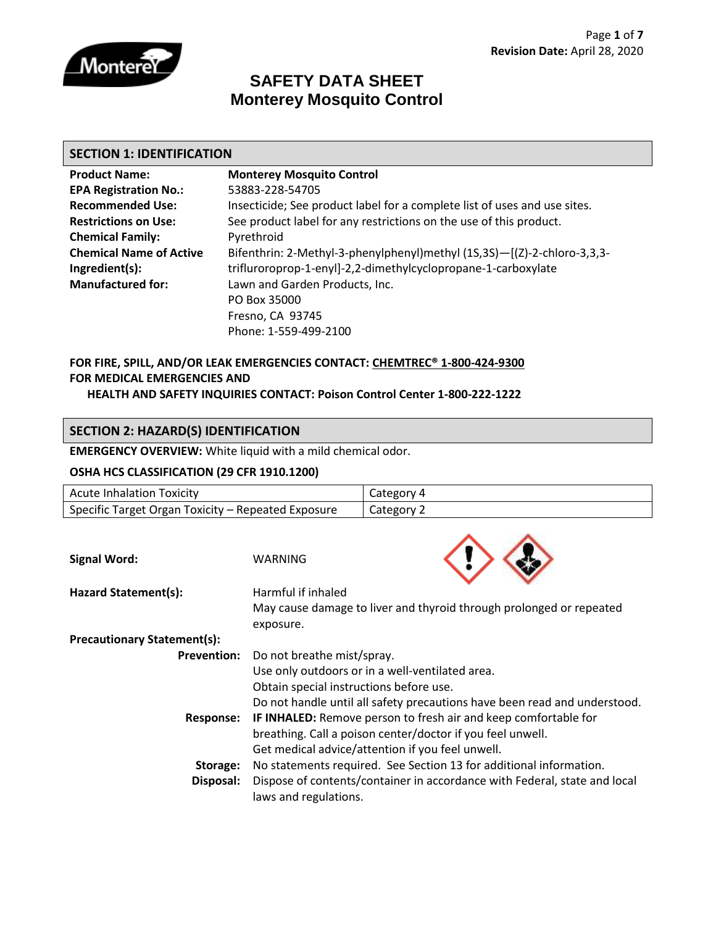

### **SAFETY DATA SHEET Monterey Mosquito Control**

#### **SECTION 1: IDENTIFICATION**

| <b>Product Name:</b>           | <b>Monterey Mosquito Control</b>                                          |
|--------------------------------|---------------------------------------------------------------------------|
| <b>EPA Registration No.:</b>   | 53883-228-54705                                                           |
| <b>Recommended Use:</b>        | Insecticide; See product label for a complete list of uses and use sites. |
| <b>Restrictions on Use:</b>    | See product label for any restrictions on the use of this product.        |
| <b>Chemical Family:</b>        | Pyrethroid                                                                |
| <b>Chemical Name of Active</b> | Bifenthrin: 2-Methyl-3-phenylphenyl)methyl (1S,3S)-[(Z)-2-chloro-3,3,3-   |
| Ingredient(s):                 | trifluroroprop-1-enyl]-2,2-dimethylcyclopropane-1-carboxylate             |
| <b>Manufactured for:</b>       | Lawn and Garden Products, Inc.                                            |
|                                | PO Box 35000                                                              |
|                                | Fresno, CA 93745                                                          |
|                                | Phone: 1-559-499-2100                                                     |

#### **FOR FIRE, SPILL, AND/OR LEAK EMERGENCIES CONTACT: CHEMTREC® 1-800-424-9300 FOR MEDICAL EMERGENCIES AND HEALTH AND SAFETY INQUIRIES CONTACT: Poison Control Center 1-800-222-1222**

### **SECTION 2: HAZARD(S) IDENTIFICATION**

**EMERGENCY OVERVIEW:** White liquid with a mild chemical odor.

#### **OSHA HCS CLASSIFICATION (29 CFR 1910.1200)**

| <b>Acute Inhalation Toxicity</b>                   |                                                                           | Category 4                                                                |
|----------------------------------------------------|---------------------------------------------------------------------------|---------------------------------------------------------------------------|
| Specific Target Organ Toxicity - Repeated Exposure |                                                                           | Category 2                                                                |
|                                                    |                                                                           |                                                                           |
| <b>Signal Word:</b>                                | <b>WARNING</b>                                                            |                                                                           |
| Hazard Statement(s):                               | Harmful if inhaled                                                        |                                                                           |
|                                                    |                                                                           | May cause damage to liver and thyroid through prolonged or repeated       |
|                                                    | exposure.                                                                 |                                                                           |
| <b>Precautionary Statement(s):</b>                 |                                                                           |                                                                           |
| <b>Prevention:</b>                                 | Do not breathe mist/spray.                                                |                                                                           |
|                                                    |                                                                           | Use only outdoors or in a well-ventilated area.                           |
|                                                    | Obtain special instructions before use.                                   |                                                                           |
|                                                    |                                                                           | Do not handle until all safety precautions have been read and understood. |
| Response:                                          | <b>IF INHALED:</b> Remove person to fresh air and keep comfortable for    |                                                                           |
|                                                    |                                                                           | breathing. Call a poison center/doctor if you feel unwell.                |
|                                                    |                                                                           | Get medical advice/attention if you feel unwell.                          |
| Storage:                                           | No statements required. See Section 13 for additional information.        |                                                                           |
| Disposal:                                          | Dispose of contents/container in accordance with Federal, state and local |                                                                           |
|                                                    | laws and regulations.                                                     |                                                                           |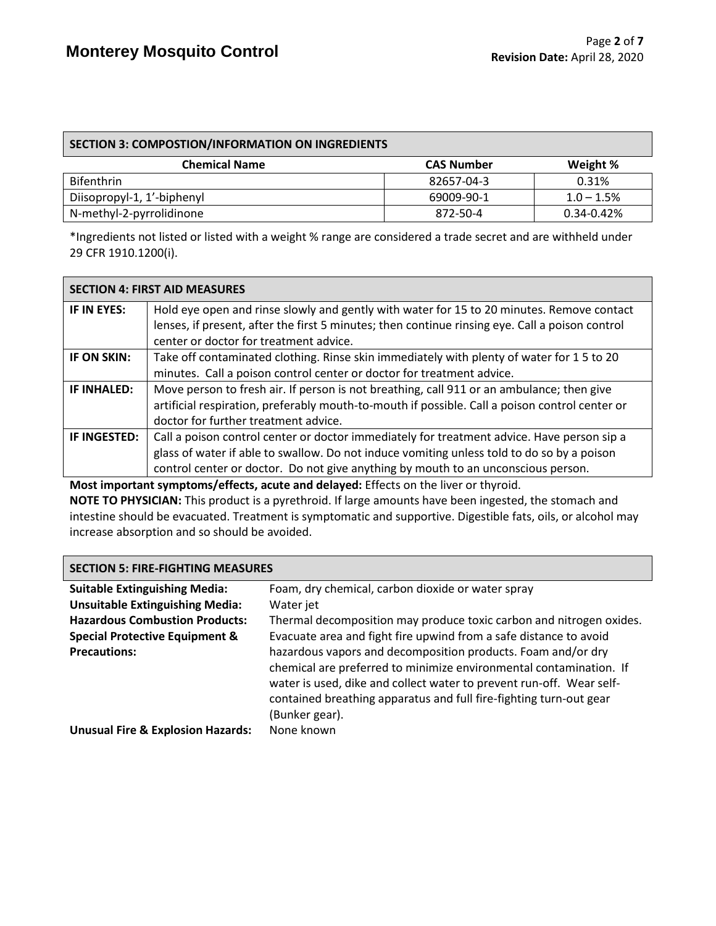| SECTION 3: COMPOSTION/INFORMATION ON INGREDIENTS |                   |               |
|--------------------------------------------------|-------------------|---------------|
| <b>Chemical Name</b>                             | <b>CAS Number</b> | Weight %      |
| <b>Bifenthrin</b>                                | 82657-04-3        | 0.31%         |
| Diisopropyl-1, 1'-biphenyl                       | 69009-90-1        | $1.0 - 1.5\%$ |
| N-methyl-2-pyrrolidinone                         | 872-50-4          | 0.34-0.42%    |

\*Ingredients not listed or listed with a weight % range are considered a trade secret and are withheld under 29 CFR 1910.1200(i).

|                    | <b>SECTION 4: FIRST AID MEASURES</b>                                                                                                                                                         |
|--------------------|----------------------------------------------------------------------------------------------------------------------------------------------------------------------------------------------|
| IF IN EYES:        | Hold eye open and rinse slowly and gently with water for 15 to 20 minutes. Remove contact<br>lenses, if present, after the first 5 minutes; then continue rinsing eye. Call a poison control |
|                    | center or doctor for treatment advice.                                                                                                                                                       |
| IF ON SKIN:        | Take off contaminated clothing. Rinse skin immediately with plenty of water for 15 to 20                                                                                                     |
|                    | minutes. Call a poison control center or doctor for treatment advice.                                                                                                                        |
| <b>IF INHALED:</b> | Move person to fresh air. If person is not breathing, call 911 or an ambulance; then give                                                                                                    |
|                    | artificial respiration, preferably mouth-to-mouth if possible. Call a poison control center or                                                                                               |
|                    | doctor for further treatment advice.                                                                                                                                                         |
| IF INGESTED:       | Call a poison control center or doctor immediately for treatment advice. Have person sip a                                                                                                   |
|                    | glass of water if able to swallow. Do not induce vomiting unless told to do so by a poison                                                                                                   |
|                    | control center or doctor. Do not give anything by mouth to an unconscious person.                                                                                                            |

**Most important symptoms/effects, acute and delayed:** Effects on the liver or thyroid. **NOTE TO PHYSICIAN:** This product is a pyrethroid. If large amounts have been ingested, the stomach and intestine should be evacuated. Treatment is symptomatic and supportive. Digestible fats, oils, or alcohol may increase absorption and so should be avoided.

#### **SECTION 5: FIRE-FIGHTING MEASURES**

| <b>Suitable Extinguishing Media:</b>         | Foam, dry chemical, carbon dioxide or water spray                    |
|----------------------------------------------|----------------------------------------------------------------------|
| <b>Unsuitable Extinguishing Media:</b>       | Water jet                                                            |
| <b>Hazardous Combustion Products:</b>        | Thermal decomposition may produce toxic carbon and nitrogen oxides.  |
| <b>Special Protective Equipment &amp;</b>    | Evacuate area and fight fire upwind from a safe distance to avoid    |
| <b>Precautions:</b>                          | hazardous vapors and decomposition products. Foam and/or dry         |
|                                              | chemical are preferred to minimize environmental contamination. If   |
|                                              | water is used, dike and collect water to prevent run-off. Wear self- |
|                                              | contained breathing apparatus and full fire-fighting turn-out gear   |
|                                              | (Bunker gear).                                                       |
| <b>Unusual Fire &amp; Explosion Hazards:</b> | None known                                                           |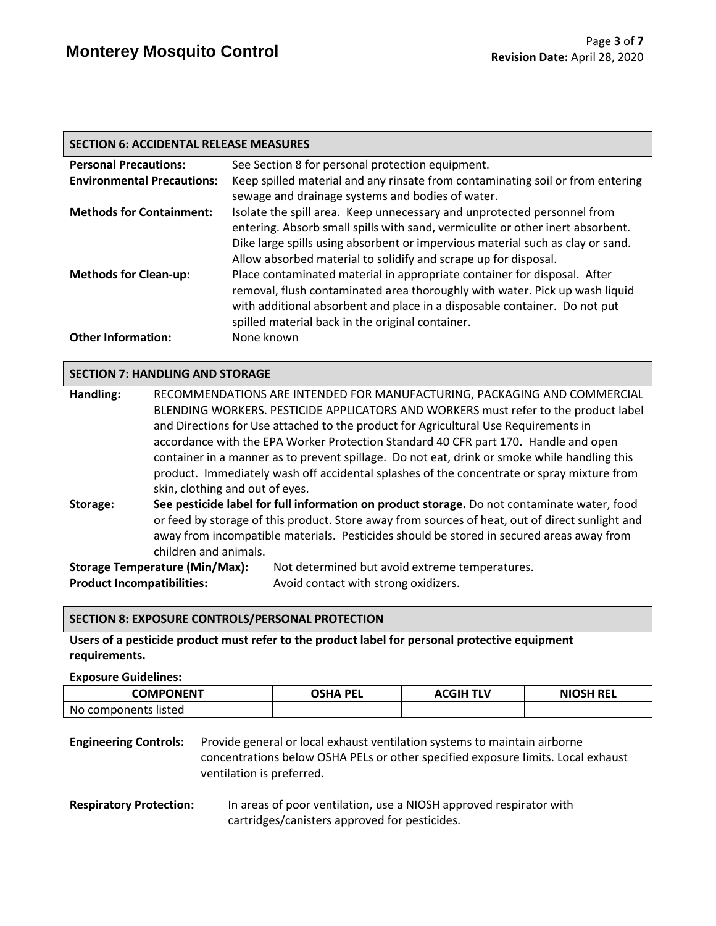| <b>SECTION 6: ACCIDENTAL RELEASE MEASURES</b> |                                                                                                                                                                                                                                                                                                                |  |
|-----------------------------------------------|----------------------------------------------------------------------------------------------------------------------------------------------------------------------------------------------------------------------------------------------------------------------------------------------------------------|--|
| <b>Personal Precautions:</b>                  | See Section 8 for personal protection equipment.                                                                                                                                                                                                                                                               |  |
| <b>Environmental Precautions:</b>             | Keep spilled material and any rinsate from contaminating soil or from entering<br>sewage and drainage systems and bodies of water.                                                                                                                                                                             |  |
| <b>Methods for Containment:</b>               | Isolate the spill area. Keep unnecessary and unprotected personnel from<br>entering. Absorb small spills with sand, vermiculite or other inert absorbent.<br>Dike large spills using absorbent or impervious material such as clay or sand.<br>Allow absorbed material to solidify and scrape up for disposal. |  |
| <b>Methods for Clean-up:</b>                  | Place contaminated material in appropriate container for disposal. After<br>removal, flush contaminated area thoroughly with water. Pick up wash liquid<br>with additional absorbent and place in a disposable container. Do not put<br>spilled material back in the original container.                       |  |
| <b>Other Information:</b>                     | None known                                                                                                                                                                                                                                                                                                     |  |

#### **SECTION 7: HANDLING AND STORAGE**

| Handling:                         | RECOMMENDATIONS ARE INTENDED FOR MANUFACTURING, PACKAGING AND COMMERCIAL |                                                                                                 |  |
|-----------------------------------|--------------------------------------------------------------------------|-------------------------------------------------------------------------------------------------|--|
|                                   |                                                                          | BLENDING WORKERS. PESTICIDE APPLICATORS AND WORKERS must refer to the product label             |  |
|                                   |                                                                          | and Directions for Use attached to the product for Agricultural Use Requirements in             |  |
|                                   |                                                                          | accordance with the EPA Worker Protection Standard 40 CFR part 170. Handle and open             |  |
|                                   |                                                                          | container in a manner as to prevent spillage. Do not eat, drink or smoke while handling this    |  |
|                                   |                                                                          | product. Immediately wash off accidental splashes of the concentrate or spray mixture from      |  |
|                                   | skin, clothing and out of eyes.                                          |                                                                                                 |  |
| Storage:                          |                                                                          | See pesticide label for full information on product storage. Do not contaminate water, food     |  |
|                                   |                                                                          | or feed by storage of this product. Store away from sources of heat, out of direct sunlight and |  |
|                                   |                                                                          | away from incompatible materials. Pesticides should be stored in secured areas away from        |  |
|                                   | children and animals.                                                    |                                                                                                 |  |
|                                   | <b>Storage Temperature (Min/Max):</b>                                    | Not determined but avoid extreme temperatures.                                                  |  |
| <b>Product Incompatibilities:</b> |                                                                          | Avoid contact with strong oxidizers.                                                            |  |

#### **SECTION 8: EXPOSURE CONTROLS/PERSONAL PROTECTION**

**Users of a pesticide product must refer to the product label for personal protective equipment requirements.**

**Exposure Guidelines:**

| COMPONENT            | OSHA PEL | <b>ACGIH TLV</b> | <b>NIOSH REL</b> |
|----------------------|----------|------------------|------------------|
| No components listed |          |                  |                  |

**Engineering Controls:** Provide general or local exhaust ventilation systems to maintain airborne concentrations below OSHA PELs or other specified exposure limits. Local exhaust ventilation is preferred.

**Respiratory Protection:** In areas of poor ventilation, use a NIOSH approved respirator with cartridges/canisters approved for pesticides.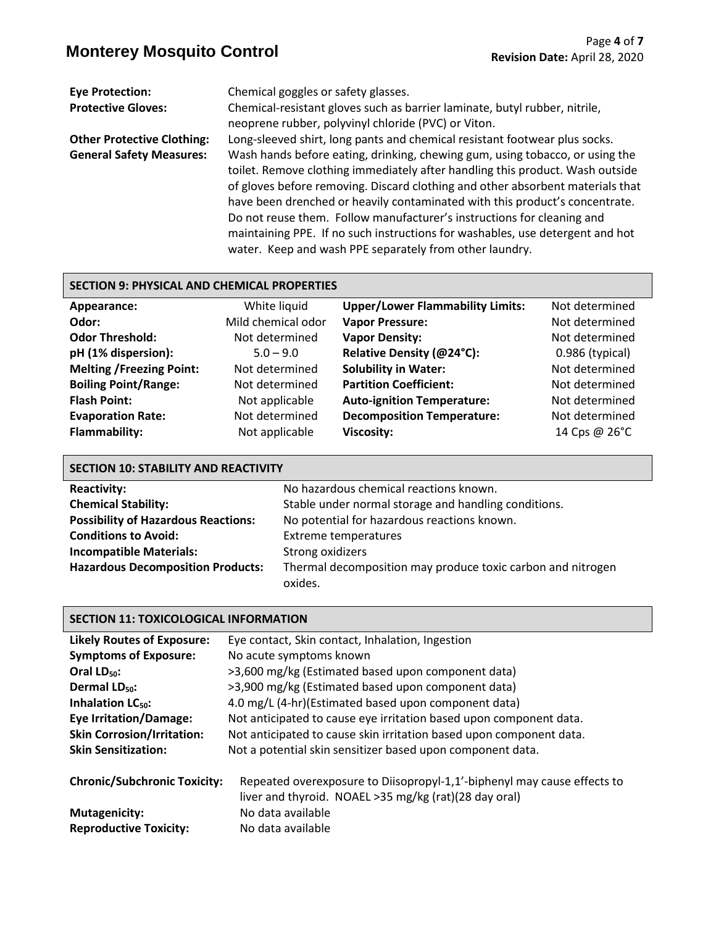| <b>Eye Protection:</b><br><b>Protective Gloves:</b> | Chemical goggles or safety glasses.<br>Chemical-resistant gloves such as barrier laminate, butyl rubber, nitrile,<br>neoprene rubber, polyvinyl chloride (PVC) or Viton.                                                                                                                                                                                                                                                                                                                                                                             |
|-----------------------------------------------------|------------------------------------------------------------------------------------------------------------------------------------------------------------------------------------------------------------------------------------------------------------------------------------------------------------------------------------------------------------------------------------------------------------------------------------------------------------------------------------------------------------------------------------------------------|
| <b>Other Protective Clothing:</b>                   | Long-sleeved shirt, long pants and chemical resistant footwear plus socks.                                                                                                                                                                                                                                                                                                                                                                                                                                                                           |
| <b>General Safety Measures:</b>                     | Wash hands before eating, drinking, chewing gum, using tobacco, or using the<br>toilet. Remove clothing immediately after handling this product. Wash outside<br>of gloves before removing. Discard clothing and other absorbent materials that<br>have been drenched or heavily contaminated with this product's concentrate.<br>Do not reuse them. Follow manufacturer's instructions for cleaning and<br>maintaining PPE. If no such instructions for washables, use detergent and hot<br>water. Keep and wash PPE separately from other laundry. |

#### **SECTION 9: PHYSICAL AND CHEMICAL PROPERTIES**

| Appearance:                     | White liquid       | <b>Upper/Lower Flammability Limits:</b> | Not determined    |
|---------------------------------|--------------------|-----------------------------------------|-------------------|
| Odor:                           | Mild chemical odor | <b>Vapor Pressure:</b>                  | Not determined    |
| <b>Odor Threshold:</b>          | Not determined     | <b>Vapor Density:</b>                   | Not determined    |
| pH (1% dispersion):             | $5.0 - 9.0$        | Relative Density (@24°C):               | $0.986$ (typical) |
| <b>Melting /Freezing Point:</b> | Not determined     | <b>Solubility in Water:</b>             | Not determined    |
| <b>Boiling Point/Range:</b>     | Not determined     | <b>Partition Coefficient:</b>           | Not determined    |
| <b>Flash Point:</b>             | Not applicable     | <b>Auto-ignition Temperature:</b>       | Not determined    |
| <b>Evaporation Rate:</b>        | Not determined     | <b>Decomposition Temperature:</b>       | Not determined    |
| <b>Flammability:</b>            | Not applicable     | <b>Viscosity:</b>                       | 14 Cps @ 26°C     |

| <b>SECTION 10: STABILITY AND REACTIVITY</b> |                                                                        |  |
|---------------------------------------------|------------------------------------------------------------------------|--|
| <b>Reactivity:</b>                          | No hazardous chemical reactions known.                                 |  |
| <b>Chemical Stability:</b>                  | Stable under normal storage and handling conditions.                   |  |
| <b>Possibility of Hazardous Reactions:</b>  | No potential for hazardous reactions known.                            |  |
| <b>Conditions to Avoid:</b>                 | <b>Extreme temperatures</b>                                            |  |
| <b>Incompatible Materials:</b>              | Strong oxidizers                                                       |  |
| <b>Hazardous Decomposition Products:</b>    | Thermal decomposition may produce toxic carbon and nitrogen<br>oxides. |  |

### **SECTION 11: TOXICOLOGICAL INFORMATION**

| <b>Likely Routes of Exposure:</b>   | Eye contact, Skin contact, Inhalation, Ingestion                                                                                 |
|-------------------------------------|----------------------------------------------------------------------------------------------------------------------------------|
| <b>Symptoms of Exposure:</b>        | No acute symptoms known                                                                                                          |
| Oral $LD_{50}$ :                    | >3,600 mg/kg (Estimated based upon component data)                                                                               |
| Dermal LD <sub>50</sub> :           | >3,900 mg/kg (Estimated based upon component data)                                                                               |
| Inhalation LC <sub>50</sub> :       | 4.0 mg/L (4-hr)(Estimated based upon component data)                                                                             |
| <b>Eye Irritation/Damage:</b>       | Not anticipated to cause eye irritation based upon component data.                                                               |
| <b>Skin Corrosion/Irritation:</b>   | Not anticipated to cause skin irritation based upon component data.                                                              |
| <b>Skin Sensitization:</b>          | Not a potential skin sensitizer based upon component data.                                                                       |
| <b>Chronic/Subchronic Toxicity:</b> | Repeated overexposure to Diisopropyl-1,1'-biphenyl may cause effects to<br>liver and thyroid. NOAEL >35 mg/kg (rat)(28 day oral) |
| <b>Mutagenicity:</b>                | No data available                                                                                                                |
| <b>Reproductive Toxicity:</b>       | No data available                                                                                                                |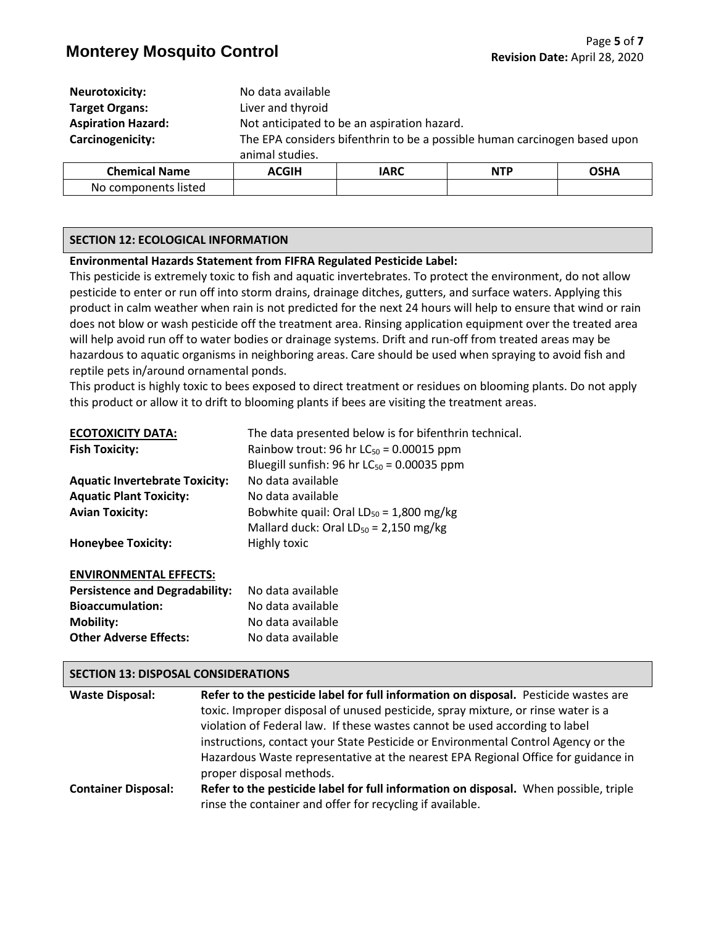### **Monterey Mosquito Control** Page 5 of 7<br>**Monterey Mosquito Control** Page 1000 Revision Date: April 28, 2020

| <b>Neurotoxicity:</b>     | No data available |                                                                           |            |             |
|---------------------------|-------------------|---------------------------------------------------------------------------|------------|-------------|
| <b>Target Organs:</b>     | Liver and thyroid |                                                                           |            |             |
| <b>Aspiration Hazard:</b> |                   | Not anticipated to be an aspiration hazard.                               |            |             |
| Carcinogenicity:          |                   | The EPA considers bifenthrin to be a possible human carcinogen based upon |            |             |
|                           | animal studies.   |                                                                           |            |             |
| <b>Chemical Name</b>      | <b>ACGIH</b>      | <b>IARC</b>                                                               | <b>NTP</b> | <b>OSHA</b> |

|  | <b>SECTION 12: ECOLOGICAL INFORMATION</b> |  |
|--|-------------------------------------------|--|
|  |                                           |  |

No components listed

#### **Environmental Hazards Statement from FIFRA Regulated Pesticide Label:**

This pesticide is extremely toxic to fish and aquatic invertebrates. To protect the environment, do not allow pesticide to enter or run off into storm drains, drainage ditches, gutters, and surface waters. Applying this product in calm weather when rain is not predicted for the next 24 hours will help to ensure that wind or rain does not blow or wash pesticide off the treatment area. Rinsing application equipment over the treated area will help avoid run off to water bodies or drainage systems. Drift and run-off from treated areas may be hazardous to aquatic organisms in neighboring areas. Care should be used when spraying to avoid fish and reptile pets in/around ornamental ponds.

This product is highly toxic to bees exposed to direct treatment or residues on blooming plants. Do not apply this product or allow it to drift to blooming plants if bees are visiting the treatment areas.

| <b>ECOTOXICITY DATA:</b>              | The data presented below is for bifenthrin technical. |
|---------------------------------------|-------------------------------------------------------|
| <b>Fish Toxicity:</b>                 | Rainbow trout: 96 hr $LC_{50}$ = 0.00015 ppm          |
|                                       | Bluegill sunfish: 96 hr $LC_{50} = 0.00035$ ppm       |
| <b>Aquatic Invertebrate Toxicity:</b> | No data available                                     |
| <b>Aquatic Plant Toxicity:</b>        | No data available                                     |
| <b>Avian Toxicity:</b>                | Bobwhite quail: Oral $LD_{50} = 1,800$ mg/kg          |
|                                       | Mallard duck: Oral $LD_{50} = 2,150$ mg/kg            |
| <b>Honeybee Toxicity:</b>             | Highly toxic                                          |
| <b>ENVIRONMENTAL EFFECTS:</b>         |                                                       |
| <b>Persistence and Degradability:</b> | No data available                                     |
| <b>Bioaccumulation:</b>               | No data available                                     |
| <b>Mobility:</b>                      | No data available                                     |
| <b>Other Adverse Effects:</b>         | No data available                                     |

#### **SECTION 13: DISPOSAL CONSIDERATIONS**

| <b>Waste Disposal:</b>     | Refer to the pesticide label for full information on disposal. Pesticide wastes are  |
|----------------------------|--------------------------------------------------------------------------------------|
|                            | toxic. Improper disposal of unused pesticide, spray mixture, or rinse water is a     |
|                            | violation of Federal law. If these wastes cannot be used according to label          |
|                            | instructions, contact your State Pesticide or Environmental Control Agency or the    |
|                            | Hazardous Waste representative at the nearest EPA Regional Office for guidance in    |
|                            | proper disposal methods.                                                             |
| <b>Container Disposal:</b> | Refer to the pesticide label for full information on disposal. When possible, triple |
|                            | rinse the container and offer for recycling if available.                            |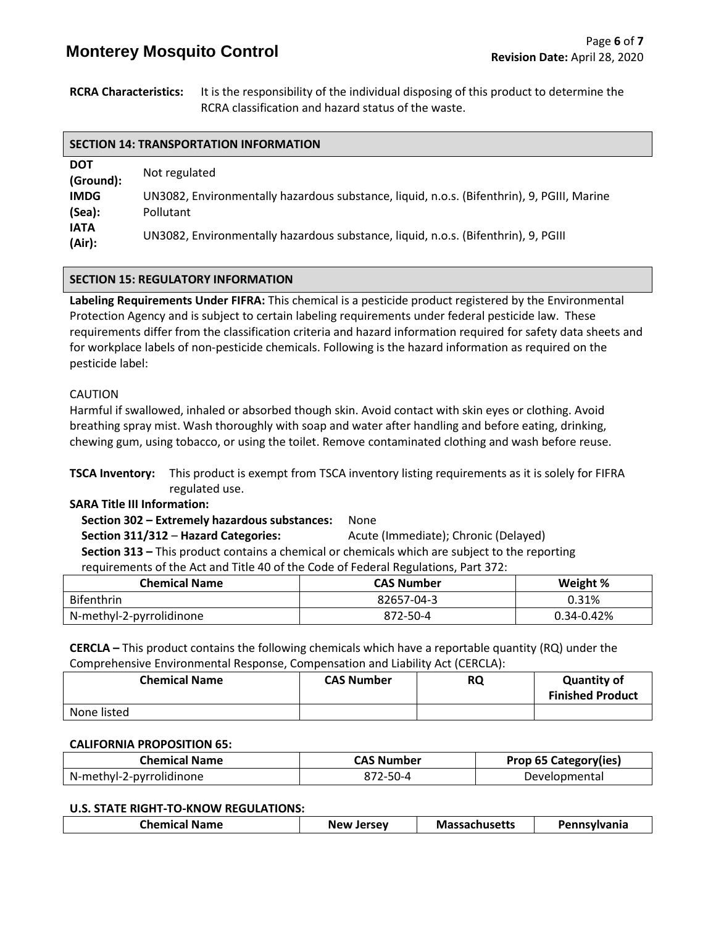## **Monterey Mosquito Control** Page 6 of 7<br>**Monterey Mosquito Control** Page 1970

**RCRA Characteristics:** It is the responsibility of the individual disposing of this product to determine the RCRA classification and hazard status of the waste.

| <b>DOT</b><br>(Ground): | Not regulated                                                                                           |
|-------------------------|---------------------------------------------------------------------------------------------------------|
| <b>IMDG</b><br>(Sea):   | UN3082, Environmentally hazardous substance, liquid, n.o.s. (Bifenthrin), 9, PGIII, Marine<br>Pollutant |
| <b>IATA</b><br>(Air):   | UN3082, Environmentally hazardous substance, liquid, n.o.s. (Bifenthrin), 9, PGIII                      |

#### **SECTION 15: REGULATORY INFORMATION**

**Labeling Requirements Under FIFRA:** This chemical is a pesticide product registered by the Environmental Protection Agency and is subject to certain labeling requirements under federal pesticide law. These requirements differ from the classification criteria and hazard information required for safety data sheets and for workplace labels of non-pesticide chemicals. Following is the hazard information as required on the pesticide label:

#### CAUTION

Harmful if swallowed, inhaled or absorbed though skin. Avoid contact with skin eyes or clothing. Avoid breathing spray mist. Wash thoroughly with soap and water after handling and before eating, drinking, chewing gum, using tobacco, or using the toilet. Remove contaminated clothing and wash before reuse.

**TSCA Inventory:** This product is exempt from TSCA inventory listing requirements as it is solely for FIFRA regulated use.

#### **SARA Title III Information:**

 **Section 302 – Extremely hazardous substances:** None  **Section 311/312** – **Hazard Categories:** Acute (Immediate); Chronic (Delayed)  **Section 313 –** This product contains a chemical or chemicals which are subject to the reporting requirements of the Act and Title 40 of the Code of Federal Regulations, Part 372:

| <b>Chemical Name</b>     | <b>CAS Number</b> | Weight %       |
|--------------------------|-------------------|----------------|
| <b>Bifenthrin</b>        | 82657-04-3        | 0.31%          |
| N-methyl-2-pyrrolidinone | 872-50-4          | $0.34 - 0.42%$ |

**CERCLA –** This product contains the following chemicals which have a reportable quantity (RQ) under the Comprehensive Environmental Response, Compensation and Liability Act (CERCLA):

| <b>Chemical Name</b> | <b>CAS Number</b> | <b>RQ</b> | <b>Quantity of</b><br><b>Finished Product</b> |
|----------------------|-------------------|-----------|-----------------------------------------------|
| None listed          |                   |           |                                               |

#### **CALIFORNIA PROPOSITION 65:**

| <b>Chemical Name</b>     | <b>CAS Number</b> | <b>Prop 65 Category(ies)</b> |
|--------------------------|-------------------|------------------------------|
| N-methyl-2-pyrrolidinone | 872-50-4          | Developmental                |

#### **U.S. STATE RIGHT-TO-KNOW REGULATIONS:**

|  | <b>Chemical</b> .<br>. Name | <b>Jersey</b><br><b>New</b> | lassachusetts | Pennsylvania |
|--|-----------------------------|-----------------------------|---------------|--------------|
|--|-----------------------------|-----------------------------|---------------|--------------|